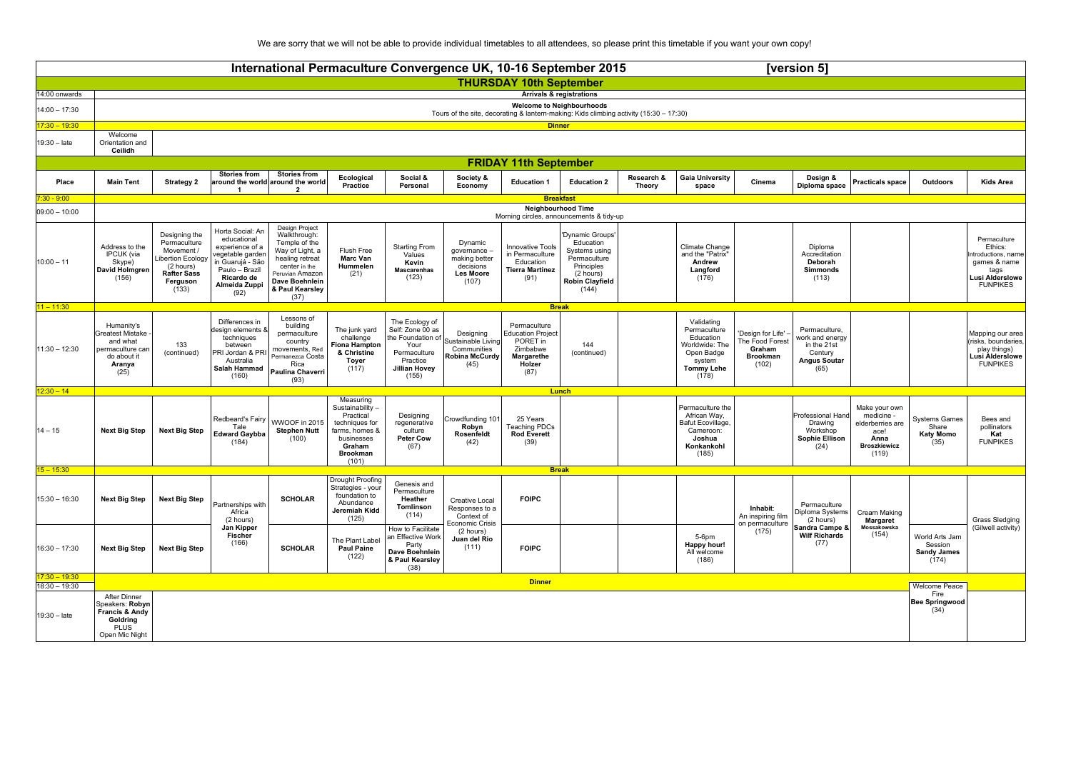We are sorry that we will not be able to provide individual timetables to all attendees, so please print this timetable if you want your own copy!

|                                                                                          | International Permaculture Convergence UK, 10-16 September 2015<br>[version 5]                            |                                                                                                                         |                                                                                                                                                    |                                                                                                                                                                        |                                                                                                                                    |                                                                                                                              |                                                                                    |                                                                                                  |                                                                                                                              |                      |                                                                                                                 |                                                                              |                                                                                           |                                                                                                 |                                                           |                                                                                                             |
|------------------------------------------------------------------------------------------|-----------------------------------------------------------------------------------------------------------|-------------------------------------------------------------------------------------------------------------------------|----------------------------------------------------------------------------------------------------------------------------------------------------|------------------------------------------------------------------------------------------------------------------------------------------------------------------------|------------------------------------------------------------------------------------------------------------------------------------|------------------------------------------------------------------------------------------------------------------------------|------------------------------------------------------------------------------------|--------------------------------------------------------------------------------------------------|------------------------------------------------------------------------------------------------------------------------------|----------------------|-----------------------------------------------------------------------------------------------------------------|------------------------------------------------------------------------------|-------------------------------------------------------------------------------------------|-------------------------------------------------------------------------------------------------|-----------------------------------------------------------|-------------------------------------------------------------------------------------------------------------|
|                                                                                          |                                                                                                           |                                                                                                                         |                                                                                                                                                    |                                                                                                                                                                        |                                                                                                                                    |                                                                                                                              |                                                                                    | <b>THURSDAY 10th September</b>                                                                   |                                                                                                                              |                      |                                                                                                                 |                                                                              |                                                                                           |                                                                                                 |                                                           |                                                                                                             |
| 14:00 onwards                                                                            |                                                                                                           |                                                                                                                         |                                                                                                                                                    |                                                                                                                                                                        |                                                                                                                                    |                                                                                                                              |                                                                                    |                                                                                                  | <b>Arrivals &amp; registrations</b>                                                                                          |                      |                                                                                                                 |                                                                              |                                                                                           |                                                                                                 |                                                           |                                                                                                             |
| $14:00 - 17:30$                                                                          |                                                                                                           |                                                                                                                         |                                                                                                                                                    |                                                                                                                                                                        |                                                                                                                                    |                                                                                                                              |                                                                                    |                                                                                                  | <b>Welcome to Neighbourhoods</b><br>Tours of the site, decorating & lantern-making: Kids climbing activity (15:30 - 17:30)   |                      |                                                                                                                 |                                                                              |                                                                                           |                                                                                                 |                                                           |                                                                                                             |
| $17:30 - 19:30$                                                                          |                                                                                                           |                                                                                                                         |                                                                                                                                                    |                                                                                                                                                                        |                                                                                                                                    |                                                                                                                              |                                                                                    | <b>Dinner</b>                                                                                    |                                                                                                                              |                      |                                                                                                                 |                                                                              |                                                                                           |                                                                                                 |                                                           |                                                                                                             |
| 19:30 - late                                                                             | Welcome<br>Orientation and<br>Ceilidh                                                                     |                                                                                                                         |                                                                                                                                                    |                                                                                                                                                                        |                                                                                                                                    |                                                                                                                              |                                                                                    |                                                                                                  |                                                                                                                              |                      |                                                                                                                 |                                                                              |                                                                                           |                                                                                                 |                                                           |                                                                                                             |
|                                                                                          |                                                                                                           |                                                                                                                         |                                                                                                                                                    |                                                                                                                                                                        |                                                                                                                                    |                                                                                                                              |                                                                                    | <b>FRIDAY 11th September</b>                                                                     |                                                                                                                              |                      |                                                                                                                 |                                                                              |                                                                                           |                                                                                                 |                                                           |                                                                                                             |
| Place                                                                                    | <b>Main Tent</b>                                                                                          | <b>Strategy 2</b>                                                                                                       | <b>Stories from</b><br>$\mathbf{1}$                                                                                                                | <b>Stories from</b><br>around the world around the world<br>$\overline{2}$                                                                                             | Ecological<br>Practice                                                                                                             | Social &<br>Personal                                                                                                         | Society &<br>Economy                                                               | <b>Education 1</b>                                                                               | <b>Education 2</b>                                                                                                           | Research &<br>Theory | <b>Gaia University</b><br>space                                                                                 | Cinema                                                                       | Design &<br>Diploma space                                                                 | <b>Practicals space</b>                                                                         | Outdoors                                                  | <b>Kids Area</b>                                                                                            |
| $7:30 - 9:00$                                                                            |                                                                                                           |                                                                                                                         |                                                                                                                                                    |                                                                                                                                                                        |                                                                                                                                    |                                                                                                                              |                                                                                    |                                                                                                  | <b>Breakfast</b>                                                                                                             |                      |                                                                                                                 |                                                                              |                                                                                           |                                                                                                 |                                                           |                                                                                                             |
| <b>Neighbourhood Time</b><br>$09:00 - 10:00$<br>Morning circles, announcements & tidy-up |                                                                                                           |                                                                                                                         |                                                                                                                                                    |                                                                                                                                                                        |                                                                                                                                    |                                                                                                                              |                                                                                    |                                                                                                  |                                                                                                                              |                      |                                                                                                                 |                                                                              |                                                                                           |                                                                                                 |                                                           |                                                                                                             |
| $10:00 - 11$                                                                             | Address to the<br>IPCUK (via<br>Skype)<br>David Holmgren<br>(156)                                         | Designing the<br>Permaculture<br>Movement /<br>ibertion Ecology<br>(2 hours)<br><b>Rafter Sass</b><br>Ferguson<br>(133) | Horta Social: An<br>educational<br>experience of a<br>egetable garden<br>in Guarujá - São<br>Paulo - Brazil<br>Ricardo de<br>Almeida Zuppi<br>(92) | Design Project<br>Walkthrough:<br>Temple of the<br>Way of Light, a<br>healing retreat<br>center in the<br>Peruvian Amazon<br>Dave Boehnlein<br>& Paul Kearsley<br>(37) | Flush Free<br><b>Marc Van</b><br>Hummelen<br>(21)                                                                                  | <b>Starting From</b><br>Values<br>Kevin<br><b>Mascarenhas</b><br>(123)                                                       | Dynamic<br>governance -<br>making better<br>decisions<br><b>Les Moore</b><br>(107) | <b>Innovative Tools</b><br>in Permaculture<br>Education<br><b>Tierra Martinez</b><br>(91)        | 'Dynamic Groups'<br>Education<br>Systems using<br>Permaculture<br>Principles<br>(2 hours)<br><b>Robin Clayfield</b><br>(144) |                      | Climate Change<br>and the "Patrix"<br>Andrew<br>Langford<br>(176)                                               |                                                                              | Diploma<br>Accreditation<br>Deborah<br>Simmonds<br>(113)                                  |                                                                                                 |                                                           | Permaculture<br>Ethics:<br>ntroductions, name<br>games & name<br>tags<br>Lusi Alderslowe<br><b>FUNPIKES</b> |
| $11 - 11:30$                                                                             |                                                                                                           |                                                                                                                         |                                                                                                                                                    |                                                                                                                                                                        |                                                                                                                                    |                                                                                                                              |                                                                                    |                                                                                                  | <b>Break</b>                                                                                                                 |                      |                                                                                                                 |                                                                              |                                                                                           |                                                                                                 |                                                           |                                                                                                             |
| $11:30 - 12:30$                                                                          | Humanity's<br>Greatest Mistake<br>and what<br>permaculture car<br>do about it<br>Aranya<br>(25)           | 133<br>(continued)                                                                                                      | Differences in<br>design elements &<br>techniques<br>between<br>PRI Jordan & PRI<br>Australia<br>Salah Hammad<br>(160)                             | Lessons of<br>building<br>permaculture<br>country<br>movements, Red<br>Permanezca Costa<br>Rica<br>Paulina Chaverri<br>(93)                                            | The junk yard<br>challenge<br><b>Fiona Hampton</b><br>& Christine<br>Toyer<br>(117)                                                | The Ecology of<br>Self: Zone 00 as<br>the Foundation of<br>Your<br>Permaculture<br>Practice<br><b>Jillian Hovey</b><br>(155) | Designing<br>Sustainable Living<br>Communities<br><b>Robina McCurdy</b><br>(45)    | Permaculture<br><b>Education Project</b><br>PORET in<br>Zimbabwe<br>Margarethe<br>Holzer<br>(87) | 144<br>(continued)                                                                                                           |                      | Validating<br>Permaculture<br>Education<br>Worldwide: The<br>Open Badge<br>system<br><b>Tommy Lehe</b><br>(178) | 'Design for Life' -<br>The Food Forest<br>Graham<br><b>Brookman</b><br>(102) | Permaculture,<br>work and energy<br>in the 21st<br>Century<br><b>Angus Soutar</b><br>(65) |                                                                                                 |                                                           | Mapping our area<br>risks, boundaries,<br>play things)<br><b>Lusi Alderslowe</b><br><b>FUNPIKES</b>         |
| $12:30 - 14$                                                                             |                                                                                                           |                                                                                                                         |                                                                                                                                                    |                                                                                                                                                                        |                                                                                                                                    |                                                                                                                              |                                                                                    |                                                                                                  | Lunch                                                                                                                        |                      |                                                                                                                 |                                                                              |                                                                                           |                                                                                                 |                                                           |                                                                                                             |
| $14 - 15$                                                                                | <b>Next Big Step</b>                                                                                      | <b>Next Big Step</b>                                                                                                    | Redbeard's Fairy<br>Tale<br><b>Edward Gaybba</b><br>(184)                                                                                          | WWOOF in 2015<br><b>Stephen Nutt</b><br>(100)                                                                                                                          | Measuring<br>Sustainability -<br>Practical<br>techniques for<br>farms, homes &<br>businesses<br>Graham<br><b>Brookman</b><br>(101) | Designing<br>regenerative<br>culture<br><b>Peter Cow</b><br>(67)                                                             | Crowdfunding 10<br>Robyn<br>Rosenfeldt<br>(42)                                     | 25 Years<br>Teaching PDCs<br><b>Rod Everett</b><br>(39)                                          |                                                                                                                              |                      | Permaculture the<br>African Way,<br>Bafut Ecovillage.<br>Cameroon:<br>Joshua<br>Konkankohl<br>(185)             |                                                                              | Professional Hand<br>Drawing<br>Workshop<br>Sophie Ellison<br>(24)                        | Make vour own<br>medicine -<br>elderberries are<br>ace!<br>Anna<br><b>Broszkiewicz</b><br>(119) | <b>Systems Games</b><br>Share<br><b>Katy Momo</b><br>(35) | Bees and<br>pollinators<br>Kat<br><b>FUNPIKES</b>                                                           |
| $15 - 15:30$                                                                             |                                                                                                           |                                                                                                                         |                                                                                                                                                    |                                                                                                                                                                        |                                                                                                                                    |                                                                                                                              |                                                                                    |                                                                                                  | <b>Break</b>                                                                                                                 |                      |                                                                                                                 |                                                                              |                                                                                           |                                                                                                 |                                                           |                                                                                                             |
| 15:30 - 16:30                                                                            | <b>Next Big Step</b>                                                                                      | <b>Next Big Step</b>                                                                                                    | Partnerships with<br>Africa<br>(2 hours)                                                                                                           | <b>SCHOLAR</b>                                                                                                                                                         | Drought Proofing<br>Strategies - your<br>foundation to<br>Abundance<br>Jeremiah Kidd<br>(125)                                      | Genesis and<br>Permaculture<br>Heather<br>Tomlinson<br>(114)                                                                 | Creative Local<br>Responses to a<br>Context of<br>Economic Crisis                  | <b>FOIPC</b>                                                                                     |                                                                                                                              |                      |                                                                                                                 | Inhabit:<br>An inspiring film                                                | Permaculture<br>Diploma Systems<br>(2 hours)                                              | Cream Making<br><b>Margaret</b>                                                                 |                                                           | <b>Grass Sledging</b><br>(Gilwell activity)                                                                 |
| 16:30 - 17:30                                                                            | <b>Next Big Step</b>                                                                                      | <b>Next Big Step</b>                                                                                                    | Jan Kipper<br><b>Fischer</b><br>(166)                                                                                                              | <b>SCHOLAR</b>                                                                                                                                                         | The Plant Label<br><b>Paul Paine</b><br>(122)                                                                                      | How to Facilitate<br>an Effective Work<br>Party<br>Dave Boehnlein<br>& Paul Kearsley<br>(38)                                 | (2 hours)<br>Juan del Rio<br>(111)                                                 | <b>FOIPC</b>                                                                                     |                                                                                                                              |                      | 5-6pm<br>Happy hour!<br>All welcome<br>(186)                                                                    | on permaculture<br>(175)                                                     | Sandra Campe &<br><b>Wilf Richards</b><br>(77)                                            | Mossakowska<br>(154)                                                                            | World Arts Jam<br>Session<br><b>Sandy James</b><br>(174)  |                                                                                                             |
| $17:30 - 19:30$<br>$18:30 - 19:30$                                                       |                                                                                                           |                                                                                                                         |                                                                                                                                                    |                                                                                                                                                                        |                                                                                                                                    |                                                                                                                              |                                                                                    | <b>Dinner</b>                                                                                    |                                                                                                                              |                      |                                                                                                                 |                                                                              |                                                                                           |                                                                                                 | Welcome Peace                                             |                                                                                                             |
| $19:30 - late$                                                                           | After Dinner<br>Speakers: Robyn<br><b>Francis &amp; Andv</b><br>Goldring<br><b>PLUS</b><br>Open Mic Night |                                                                                                                         |                                                                                                                                                    |                                                                                                                                                                        |                                                                                                                                    |                                                                                                                              |                                                                                    |                                                                                                  |                                                                                                                              |                      |                                                                                                                 |                                                                              |                                                                                           |                                                                                                 | Fire<br><b>Bee Springwood</b><br>(34)                     |                                                                                                             |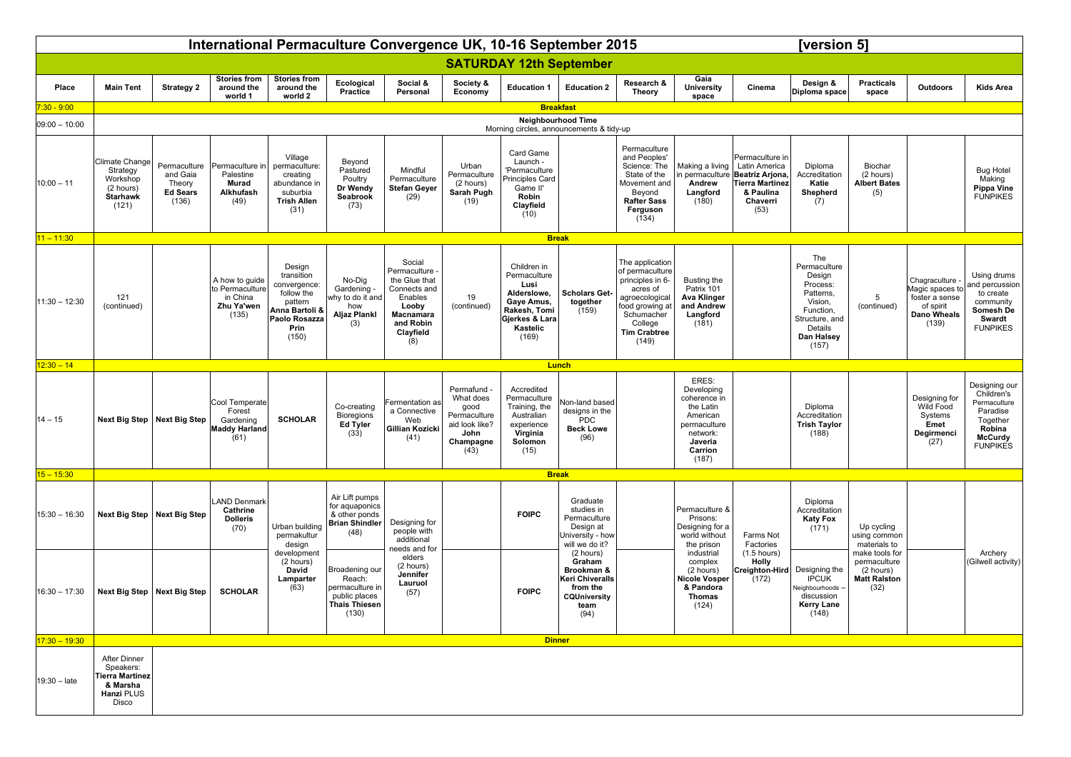|                  | International Permaculture Convergence UK, 10-16 September 2015                        |                                                                |                                                                       |                                                                                                                   |                                                                                               |                                                                                                                                    |                                                                                               |                                                                                                                         |                                                                                                         |                                                                                                                                                                  |                                                                                                                                                                                                                                                |                                                                                                                                             | [version 5]                                                                                                                        |                                                                            |                                                                                                |                                                                                                                    |
|------------------|----------------------------------------------------------------------------------------|----------------------------------------------------------------|-----------------------------------------------------------------------|-------------------------------------------------------------------------------------------------------------------|-----------------------------------------------------------------------------------------------|------------------------------------------------------------------------------------------------------------------------------------|-----------------------------------------------------------------------------------------------|-------------------------------------------------------------------------------------------------------------------------|---------------------------------------------------------------------------------------------------------|------------------------------------------------------------------------------------------------------------------------------------------------------------------|------------------------------------------------------------------------------------------------------------------------------------------------------------------------------------------------------------------------------------------------|---------------------------------------------------------------------------------------------------------------------------------------------|------------------------------------------------------------------------------------------------------------------------------------|----------------------------------------------------------------------------|------------------------------------------------------------------------------------------------|--------------------------------------------------------------------------------------------------------------------|
|                  |                                                                                        |                                                                |                                                                       |                                                                                                                   |                                                                                               |                                                                                                                                    |                                                                                               | <b>SATURDAY 12th September</b>                                                                                          |                                                                                                         |                                                                                                                                                                  |                                                                                                                                                                                                                                                |                                                                                                                                             |                                                                                                                                    |                                                                            |                                                                                                |                                                                                                                    |
| Place            | <b>Main Tent</b>                                                                       | <b>Strategy 2</b>                                              | <b>Stories from</b><br>around the<br>world 1                          | <b>Stories from</b><br>around the<br>world 2                                                                      | Ecological<br>Practice                                                                        | Social &<br>Personal                                                                                                               | Society &<br>Economy                                                                          | <b>Education 1</b>                                                                                                      | <b>Education 2</b>                                                                                      | Research &<br>Theory                                                                                                                                             | Gaia<br><b>University</b><br>space                                                                                                                                                                                                             | Cinema                                                                                                                                      | Design &<br>Diploma space                                                                                                          | <b>Practicals</b><br>space                                                 | Outdoors                                                                                       | <b>Kids Area</b>                                                                                                   |
| $'$ :30 - 9:00   |                                                                                        |                                                                |                                                                       |                                                                                                                   |                                                                                               |                                                                                                                                    |                                                                                               |                                                                                                                         | <b>Breakfast</b>                                                                                        |                                                                                                                                                                  |                                                                                                                                                                                                                                                |                                                                                                                                             |                                                                                                                                    |                                                                            |                                                                                                |                                                                                                                    |
| $ 09:00 - 10:00$ |                                                                                        |                                                                |                                                                       |                                                                                                                   |                                                                                               |                                                                                                                                    |                                                                                               |                                                                                                                         | <b>Neighbourhood Time</b><br>Morning circles, announcements & tidy-up                                   |                                                                                                                                                                  |                                                                                                                                                                                                                                                |                                                                                                                                             |                                                                                                                                    |                                                                            |                                                                                                |                                                                                                                    |
| $10:00 - 11$     | Climate Change<br>Strategy<br>Workshop<br>(2 hours)<br><b>Starhawk</b><br>(121)        | Permaculture<br>and Gaia<br>Theory<br><b>Ed Sears</b><br>(136) | Permaculture in<br>Palestine<br><b>Murad</b><br>Alkhufash<br>(49)     | Village<br>permaculture:<br>creating<br>abundance in<br>suburbia<br><b>Trish Allen</b><br>(31)                    | Beyond<br>Pastured<br>Poultry<br>Dr Wendy<br>Seabrook<br>(73)                                 | Mindful<br>Permaculture<br><b>Stefan Geyer</b><br>(29)                                                                             | Urban<br>Permaculture<br>(2 hours)<br>Sarah Pugh<br>(19)                                      | Card Game<br>Launch -<br>'Permaculture<br>Principles Card<br>Game II'<br>Robin<br>Clayfield<br>(10)                     |                                                                                                         | Permaculture<br>and Peoples'<br>Science: The<br>State of the<br>Movement and<br>Beyond<br><b>Rafter Sass</b><br>Ferguson<br>(134)                                | Andrew<br>Langford<br>(180)                                                                                                                                                                                                                    | Permaculture in<br>Making a living   Latin America<br>in permaculture   Beatriz Arjona,<br>Tierra Martinez<br>& Paulina<br>Chaverri<br>(53) | Diploma<br>Accreditation<br>Katie<br>Shepherd<br>(7)                                                                               | Biochar<br>(2 hours)<br><b>Albert Bates</b><br>(5)                         |                                                                                                | <b>Bug Hotel</b><br>Making<br><b>Pippa Vine</b><br><b>FUNPIKES</b>                                                 |
| $11 - 11:30$     |                                                                                        |                                                                |                                                                       |                                                                                                                   |                                                                                               |                                                                                                                                    |                                                                                               |                                                                                                                         | <b>Break</b>                                                                                            |                                                                                                                                                                  |                                                                                                                                                                                                                                                |                                                                                                                                             |                                                                                                                                    |                                                                            |                                                                                                |                                                                                                                    |
| $11:30 - 12:30$  | 121<br>(continued)                                                                     |                                                                | A how to guide<br>to Permaculture<br>in China<br>Zhu Ya'wen<br>(135)  | Design<br>transition<br>convergence:<br>follow the<br>pattern<br>Anna Bartoli &<br>Paolo Rosazza<br>Prin<br>(150) | No-Dig<br>Gardening -<br>why to do it and<br>how<br><b>Aljaz Plankl</b><br>(3)                | Social<br>Permaculture -<br>the Glue that<br>Connects and<br>Enables<br>Looby<br><b>Macnamara</b><br>and Robin<br>Clayfield<br>(8) | 19<br>(continued)                                                                             | Children in<br>Permaculture<br>Lusi<br>Alderslowe,<br>Gaye Amus,<br>Rakesh, Tomi<br>Gjerkes & Lara<br>Kastelic<br>(169) | <b>Scholars Get-</b><br>together<br>(159)                                                               | The application<br>of permaculture<br>principles in 6-<br>acres of<br>agroecological<br>food growing at<br>Schumacher<br>College<br><b>Tim Crabtree</b><br>(149) | Busting the<br>Patrix 101<br><b>Ava Klinger</b><br>and Andrew<br>Langford<br>(181)                                                                                                                                                             |                                                                                                                                             | The<br>Permaculture<br>Design<br>Process:<br>Patterns,<br>Vision,<br>Function,<br>Structure, and<br>Details<br>Dan Halsey<br>(157) | 5<br>(continued)                                                           | Chagraculture<br>Magic spaces to<br>foster a sense<br>of spirit<br><b>Dano Wheals</b><br>(139) | Using drums<br>and percussion<br>to create<br>community<br>Somesh De<br>Swardt<br><b>FUNPIKES</b>                  |
| $12:30 - 14$     | Lunch                                                                                  |                                                                |                                                                       |                                                                                                                   |                                                                                               |                                                                                                                                    |                                                                                               |                                                                                                                         |                                                                                                         |                                                                                                                                                                  |                                                                                                                                                                                                                                                |                                                                                                                                             |                                                                                                                                    |                                                                            |                                                                                                |                                                                                                                    |
| $ 14 - 15 $      | Next Big Step                                                                          | <b>Next Big Step</b>                                           | Cool Temperate<br>Forest<br>Gardening<br><b>Maddy Harland</b><br>(61) | <b>SCHOLAR</b>                                                                                                    | Co-creating<br><b>Bioregions</b><br>Ed Tyler<br>(33)                                          | Fermentation as<br>a Connective<br>Web<br>Gillian Kozicki<br>(41)                                                                  | Permafund<br>What does<br>good<br>Permaculture<br>aid look like?<br>John<br>Champagne<br>(43) | Accredited<br>Permaculture<br>Training, the<br>Australian<br>experience<br>Virginia<br>Solomon<br>(15)                  | Non-land based<br>designs in the<br>PDC<br><b>Beck Lowe</b><br>(96)                                     |                                                                                                                                                                  | ERES:<br>Developing<br>coherence in<br>the Latin<br>American<br>permaculture<br>network:<br>Javeria<br>Carrion<br>(187)                                                                                                                        |                                                                                                                                             | Diploma<br>Accreditation<br><b>Trish Taylor</b><br>(188)                                                                           |                                                                            | Designing for<br>Wild Food<br>Systems<br>Emet<br>Degirmenci<br>(27)                            | Designing our<br>Children's<br>Permaculture<br>Paradise<br>Together<br>Robina<br><b>McCurdy</b><br><b>FUNPIKES</b> |
| $15 - 15:30$     |                                                                                        |                                                                |                                                                       |                                                                                                                   |                                                                                               |                                                                                                                                    |                                                                                               |                                                                                                                         | <b>Break</b>                                                                                            |                                                                                                                                                                  |                                                                                                                                                                                                                                                |                                                                                                                                             |                                                                                                                                    |                                                                            |                                                                                                |                                                                                                                    |
| $15:30 - 16:30$  |                                                                                        | Next Big Step   Next Big Step                                  | <b>LAND Denmark</b><br>Cathrine<br><b>Dolleris</b><br>(70)            | Urban building<br>permakultur<br>design                                                                           | Air Lift pumps<br>for aquaponics<br>& other ponds<br><b>Brian Shindler</b><br>(48)            | Designing for<br>people with<br>additional<br>needs and for                                                                        |                                                                                               | <b>FOIPC</b>                                                                                                            | Graduate<br>studies in<br>Permaculture<br>Design at<br>University - how<br>will we do it?               |                                                                                                                                                                  | Permaculture &<br>Prisons:<br>Designing for a<br>Farms Not<br>world without<br>the prison<br>Factories<br>$(1.5$ hours)<br>industrial<br><b>Holly</b><br>complex<br>(2 hours)<br><b>Nicole Vosper</b><br>(172)<br>& Pandora<br>Thomas<br>(124) |                                                                                                                                             | Diploma<br>Accreditation<br><b>Katy Fox</b><br>(171)                                                                               | Up cycling<br>using common<br>materials to                                 |                                                                                                | Archery<br>(Gilwell activity)                                                                                      |
| $16:30 - 17:30$  |                                                                                        | Next Big Step   Next Big Step                                  | <b>SCHOLAR</b>                                                        | development<br>(2 hours)<br>David<br>Lamparter<br>(63)                                                            | Broadening our<br>Reach:<br>permaculture in<br>public places<br><b>Thais Thiesen</b><br>(130) | elders<br>(2 hours)<br>Jennifer<br>Lauruol<br>(57)                                                                                 |                                                                                               | <b>FOIPC</b>                                                                                                            | (2 hours)<br>Graham<br>Brookman &<br>Keri Chiveralls<br>from the<br><b>CQUniversity</b><br>team<br>(94) |                                                                                                                                                                  |                                                                                                                                                                                                                                                | Creighton-Hird                                                                                                                              | Designing the<br><b>IPCUK</b><br>Neighbourhoods -<br>discussion<br><b>Kerry Lane</b><br>(148)                                      | make tools for<br>permaculture<br>(2 hours)<br><b>Matt Ralston</b><br>(32) |                                                                                                |                                                                                                                    |
| $17:30 - 19:30$  |                                                                                        |                                                                |                                                                       |                                                                                                                   |                                                                                               |                                                                                                                                    |                                                                                               | <b>Dinner</b>                                                                                                           |                                                                                                         |                                                                                                                                                                  |                                                                                                                                                                                                                                                |                                                                                                                                             |                                                                                                                                    |                                                                            |                                                                                                |                                                                                                                    |
| $19:30 -$ late   | <b>After Dinner</b><br>Speakers:<br>Tierra Martinez<br>& Marsha<br>Hanzi PLUS<br>Disco |                                                                |                                                                       |                                                                                                                   |                                                                                               |                                                                                                                                    |                                                                                               |                                                                                                                         |                                                                                                         |                                                                                                                                                                  |                                                                                                                                                                                                                                                |                                                                                                                                             |                                                                                                                                    |                                                                            |                                                                                                |                                                                                                                    |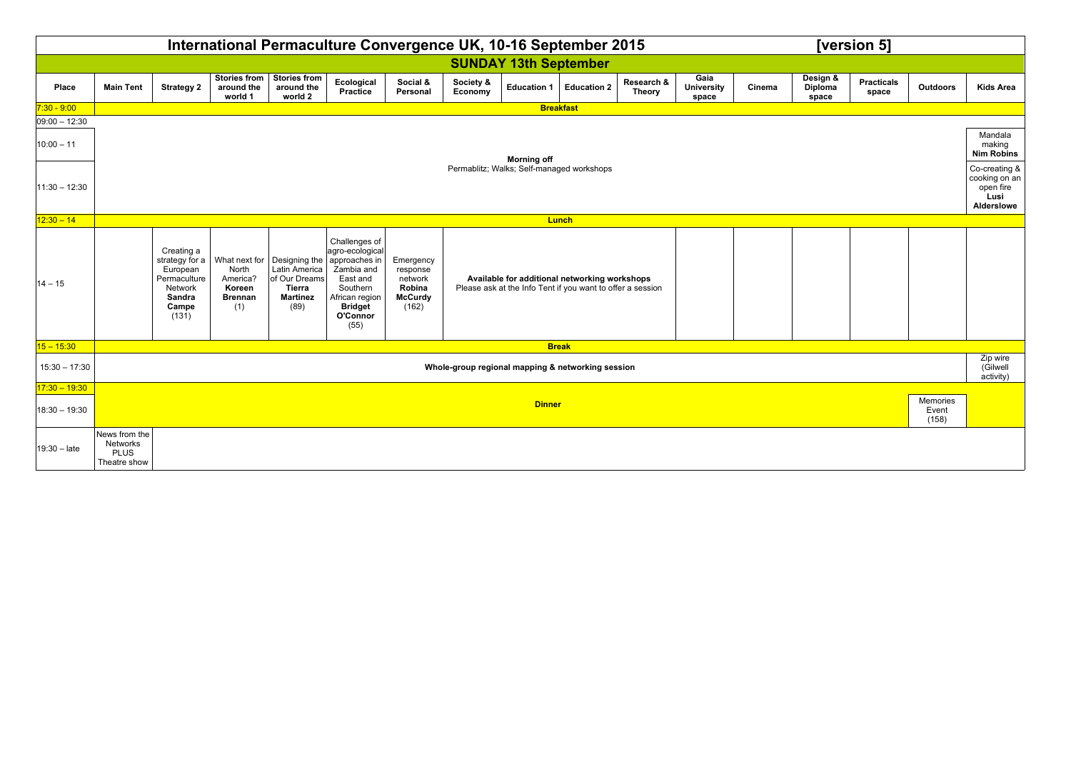|                                    | International Permaculture Convergence UK, 10-16 September 2015<br>[version 5] |                                                                                                 |                                                      |                                                                                                                                  |                                                                                                                                |                                                                       |                      |                                                                                                             |                           |                      |                                    |        |                              |                                                                   |          |                                   |
|------------------------------------|--------------------------------------------------------------------------------|-------------------------------------------------------------------------------------------------|------------------------------------------------------|----------------------------------------------------------------------------------------------------------------------------------|--------------------------------------------------------------------------------------------------------------------------------|-----------------------------------------------------------------------|----------------------|-------------------------------------------------------------------------------------------------------------|---------------------------|----------------------|------------------------------------|--------|------------------------------|-------------------------------------------------------------------|----------|-----------------------------------|
|                                    |                                                                                |                                                                                                 |                                                      |                                                                                                                                  |                                                                                                                                |                                                                       |                      | <b>SUNDAY 13th September</b>                                                                                |                           |                      |                                    |        |                              |                                                                   |          |                                   |
| Place                              | <b>Main Tent</b>                                                               | <b>Strategy 2</b>                                                                               | <b>Stories from</b><br>around the<br>world 1         | Stories from<br>around the<br>world 2                                                                                            | Ecological<br>Practice                                                                                                         | Social &<br>Personal                                                  | Society &<br>Economy |                                                                                                             | Education 1   Education 2 | Research &<br>Theory | Gaia<br><b>University</b><br>space | Cinema | Design &<br>Diploma<br>space | <b>Practicals</b><br>space                                        | Outdoors | <b>Kids Area</b>                  |
| $7:30 - 9:00$                      |                                                                                | <b>Breakfast</b>                                                                                |                                                      |                                                                                                                                  |                                                                                                                                |                                                                       |                      |                                                                                                             |                           |                      |                                    |        |                              |                                                                   |          |                                   |
| $ 09:00 - 12:30$                   |                                                                                |                                                                                                 |                                                      |                                                                                                                                  |                                                                                                                                |                                                                       |                      |                                                                                                             |                           |                      |                                    |        |                              |                                                                   |          |                                   |
| $10:00 - 11$                       | <b>Morning off</b><br>Permablitz; Walks; Self-managed workshops                |                                                                                                 |                                                      |                                                                                                                                  |                                                                                                                                |                                                                       |                      |                                                                                                             |                           |                      |                                    |        |                              | Mandala<br>making<br><b>Nim Robins</b>                            |          |                                   |
| $11:30 - 12:30$                    |                                                                                |                                                                                                 |                                                      |                                                                                                                                  |                                                                                                                                |                                                                       |                      |                                                                                                             |                           |                      |                                    |        |                              | Co-creating &<br>cooking on an<br>open fire<br>Lusi<br>Alderslowe |          |                                   |
| $12:30 - 14$<br><b>Lunch</b>       |                                                                                |                                                                                                 |                                                      |                                                                                                                                  |                                                                                                                                |                                                                       |                      |                                                                                                             |                           |                      |                                    |        |                              |                                                                   |          |                                   |
| $14 - 15$                          |                                                                                | Creating a<br>strategy for a<br>European<br>Permaculture<br>Network<br>Sandra<br>Campe<br>(131) | North<br>America?<br>Koreen<br><b>Brennan</b><br>(1) | What next for $\vert$ Designing the $\vert$ approaches in<br>Latin America<br>of Our Dreams<br>Tierra<br><b>Martinez</b><br>(89) | Challenges of<br>agro-ecological<br>Zambia and<br>East and<br>Southern<br>African region<br><b>Bridget</b><br>O'Connor<br>(55) | Emergency<br>response<br>network<br>Robina<br><b>McCurdy</b><br>(162) |                      | Available for additional networking workshops<br>Please ask at the Info Tent if you want to offer a session |                           |                      |                                    |        |                              |                                                                   |          |                                   |
| $15 - 15:30$                       |                                                                                |                                                                                                 |                                                      |                                                                                                                                  |                                                                                                                                |                                                                       |                      | <b>Break</b>                                                                                                |                           |                      |                                    |        |                              |                                                                   |          |                                   |
| $15:30 - 17:30$                    |                                                                                |                                                                                                 |                                                      |                                                                                                                                  |                                                                                                                                |                                                                       |                      | Whole-group regional mapping & networking session                                                           |                           |                      |                                    |        |                              |                                                                   |          | Zip wire<br>(Gilwell<br>activity) |
| $17:30 - 19:30$<br>$18:30 - 19:30$ | Memories<br><b>Dinner</b><br>Event<br>(158)                                    |                                                                                                 |                                                      |                                                                                                                                  |                                                                                                                                |                                                                       |                      |                                                                                                             |                           |                      |                                    |        |                              |                                                                   |          |                                   |
| $19:30 - late$                     | News from the<br>Networks<br><b>PLUS</b><br>Theatre show                       |                                                                                                 |                                                      |                                                                                                                                  |                                                                                                                                |                                                                       |                      |                                                                                                             |                           |                      |                                    |        |                              |                                                                   |          |                                   |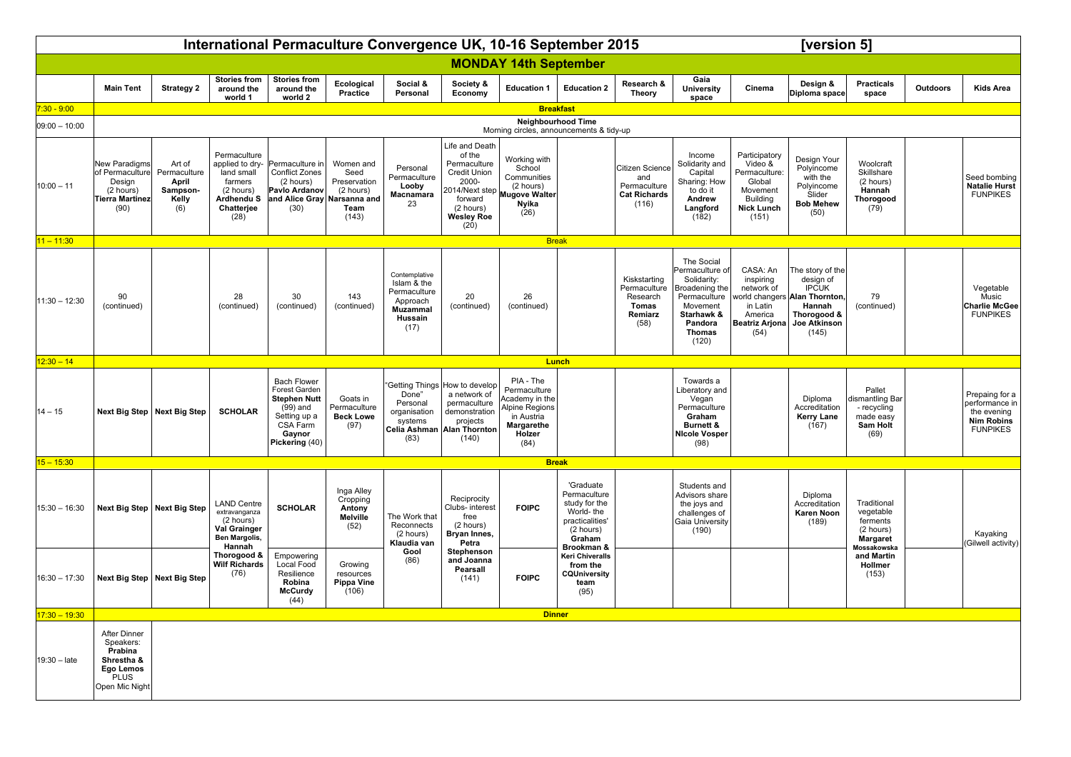|                              | International Permaculture Convergence UK, 10-16 September 2015                                         |                                             |                                                                                                                                            |                                                                                                                                  |                                                                 |                                                                                                |                                                                                                                                    |                                                                                                             |                                                                                                                 |                                                                        |                                                                                                                                        |                                                                                                           | [version 5]                                                                                                              |                                                                              |                 |                                                                                         |  |  |
|------------------------------|---------------------------------------------------------------------------------------------------------|---------------------------------------------|--------------------------------------------------------------------------------------------------------------------------------------------|----------------------------------------------------------------------------------------------------------------------------------|-----------------------------------------------------------------|------------------------------------------------------------------------------------------------|------------------------------------------------------------------------------------------------------------------------------------|-------------------------------------------------------------------------------------------------------------|-----------------------------------------------------------------------------------------------------------------|------------------------------------------------------------------------|----------------------------------------------------------------------------------------------------------------------------------------|-----------------------------------------------------------------------------------------------------------|--------------------------------------------------------------------------------------------------------------------------|------------------------------------------------------------------------------|-----------------|-----------------------------------------------------------------------------------------|--|--|
|                              |                                                                                                         |                                             |                                                                                                                                            |                                                                                                                                  |                                                                 |                                                                                                |                                                                                                                                    | <b>MONDAY 14th September</b>                                                                                |                                                                                                                 |                                                                        |                                                                                                                                        |                                                                                                           |                                                                                                                          |                                                                              |                 |                                                                                         |  |  |
|                              | <b>Main Tent</b>                                                                                        | <b>Strategy 2</b>                           | <b>Stories from</b><br>around the<br>world 1                                                                                               | <b>Stories from</b><br>around the<br>world 2                                                                                     | Ecological<br>Practice                                          | Social &<br>Personal                                                                           | Society &<br>Economy                                                                                                               | <b>Education 1</b>                                                                                          | <b>Education 2</b>                                                                                              | Research &<br>Theory                                                   | Gaia<br><b>University</b><br>space                                                                                                     | Cinema                                                                                                    | Design &<br>Diploma space                                                                                                | <b>Practicals</b><br>space                                                   | <b>Outdoors</b> | <b>Kids Area</b>                                                                        |  |  |
| $7:30 - 9:00$                |                                                                                                         |                                             |                                                                                                                                            |                                                                                                                                  |                                                                 |                                                                                                |                                                                                                                                    |                                                                                                             | <b>Breakfast</b>                                                                                                |                                                                        |                                                                                                                                        |                                                                                                           |                                                                                                                          |                                                                              |                 |                                                                                         |  |  |
| $09:00 - 10:00$              |                                                                                                         |                                             |                                                                                                                                            |                                                                                                                                  |                                                                 |                                                                                                |                                                                                                                                    |                                                                                                             | Neighbourhood Time<br>Morning circles, announcements & tidy-up                                                  |                                                                        |                                                                                                                                        |                                                                                                           |                                                                                                                          |                                                                              |                 |                                                                                         |  |  |
| $10:00 - 11$                 | <b>New Paradigms</b><br>of Permaculture Permaculture<br>Design<br>(2 hours)<br>Tierra Martinez<br>(90)  | Art of<br>April<br>Sampson-<br>Kelly<br>(6) | Permaculture<br>applied to dry-<br>land small<br>farmers<br>(2 hours)<br>Ardhendu S<br>Chatterjee<br>(28)                                  | Permaculture in<br><b>Conflict Zones</b><br>(2 hours)<br>Pavlo Ardanov<br>and Alice Gray Narsanna and<br>(30)                    | Women and<br>Seed<br>Preservation<br>(2 hours)<br>Team<br>(143) | Personal<br>Permaculture<br>Looby<br>Macnamara<br>23                                           | Life and Death<br>of the<br>Permaculture<br>Credit Union<br>2000-<br>forward<br>(2 hours)<br>Wesley Roe<br>$(20)$                  | Working with<br>School<br>Communities<br>(2 hours)<br>2014/Next step Mugove Walter<br>Nyika<br>(26)         |                                                                                                                 | Citizen Science<br>and<br>Permaculture<br><b>Cat Richards</b><br>(116) | Income<br>Solidarity and<br>Capital<br>Sharing: How<br>to do it<br>Andrew<br>Langford<br>(182)                                         | Participatory<br>Video &<br>Permaculture:<br>Global<br>Movement<br>Building<br><b>Nick Lunch</b><br>(151) | Design Your<br>Polyincome<br>with the<br>Polyincome<br>Slider<br><b>Bob Mehew</b><br>(50)                                | Woolcraft<br>Skillshare<br>(2 hours)<br>Hannah<br>Thorogood<br>(79)          |                 | Seed bombing<br><b>Natalie Hurst</b><br><b>FUNPIKES</b>                                 |  |  |
| $11 - 11:30$                 |                                                                                                         |                                             |                                                                                                                                            |                                                                                                                                  |                                                                 |                                                                                                |                                                                                                                                    | <b>Break</b>                                                                                                |                                                                                                                 |                                                                        |                                                                                                                                        |                                                                                                           |                                                                                                                          |                                                                              |                 |                                                                                         |  |  |
| $11:30 - 12:30$              | 90<br>(continued)                                                                                       |                                             | 28<br>(continued)                                                                                                                          | 30<br>(continued)                                                                                                                | 143<br>(continued)                                              | Contemplative<br>Islam & the<br>Permaculture<br>Approach<br><b>Muzammal</b><br>Hussain<br>(17) | 20<br>(continued)                                                                                                                  | 26<br>(continued)                                                                                           |                                                                                                                 | Kiskstarting<br>Permaculture<br>Research<br>Tomas<br>Remiarz<br>(58)   | The Social<br>Permaculture of<br>Solidarity:<br>Broadening the<br>Permaculture<br>Movement<br>Starhawk &<br>Pandora<br>Thomas<br>(120) | CASA: An<br>inspiring<br>network of<br>in Latin<br>America<br><b>Beatriz Arjona</b><br>(54)               | The story of the<br>design of<br>IPCUK<br>orld changers Alan Thornton,<br>Hannah<br>Thorogood &<br>Joe Atkinson<br>(145) | 79<br>(continued)                                                            |                 | Vegetable<br>Music<br><b>Charlie McGee</b><br><b>FUNPIKES</b>                           |  |  |
| $12:30 - 14$<br><b>Lunch</b> |                                                                                                         |                                             |                                                                                                                                            |                                                                                                                                  |                                                                 |                                                                                                |                                                                                                                                    |                                                                                                             |                                                                                                                 |                                                                        |                                                                                                                                        |                                                                                                           |                                                                                                                          |                                                                              |                 |                                                                                         |  |  |
| $14 - 15$                    |                                                                                                         | Next Big Step   Next Big Step               | <b>SCHOLAR</b>                                                                                                                             | <b>Bach Flower</b><br>Forest Garden<br><b>Stephen Nutt</b><br>$(99)$ and<br>Setting up a<br>CSA Farm<br>Gaynor<br>Pickering (40) | Goats in<br>Permaculture<br><b>Beck Lowe</b><br>(97)            | Done"<br>Personal<br>organisation<br>systems<br>(83)                                           | 'Getting Things How to develop<br>a network of<br>permaculture<br>demonstration<br>projects<br>Celia Ashman Alan Thornton<br>(140) | PIA - The<br>Permaculture<br>Academy in the<br>Alpine Regions<br>in Austria<br>Margarethe<br>Holzer<br>(84) |                                                                                                                 |                                                                        | Towards a<br>Liberatory and<br>Vegan<br>Permaculture<br>Graham<br><b>Burnett &amp;</b><br><b>Nicole Vosper</b><br>(98)                 |                                                                                                           | Diploma<br>Accreditation<br><b>Kerry Lane</b><br>(167)                                                                   | Pallet<br>dismantling Bar<br>- recycling<br>made easy<br>Sam Holt<br>(69)    |                 | Prepaing for a<br>performance in<br>the evening<br><b>Nim Robins</b><br><b>FUNPIKES</b> |  |  |
| $15 - 15:30$                 |                                                                                                         |                                             |                                                                                                                                            |                                                                                                                                  |                                                                 |                                                                                                |                                                                                                                                    |                                                                                                             | <b>Break</b>                                                                                                    |                                                                        |                                                                                                                                        |                                                                                                           |                                                                                                                          |                                                                              |                 |                                                                                         |  |  |
| $15:30 - 16:30$              |                                                                                                         | Next Big Step   Next Big Step               | <b>LAND Centre</b><br>extravanganza<br>(2 hours)<br>Val Grainger<br>Ben Margolis,<br>Hannah<br>Thorogood &<br><b>Wilf Richards</b><br>(76) | <b>SCHOLAR</b>                                                                                                                   | Inga Alley<br>Cropping<br>Antony<br>Melville<br>(52)            | The Work that<br>Reconnects<br>(2 hours)<br>Klaudia van                                        | Reciprocity<br>Clubs- interest<br>free<br>(2 hours)<br>Bryan Innes,<br>Petra                                                       | <b>FOIPC</b>                                                                                                | 'Graduate<br>Permaculture<br>study for the<br>World-the<br>practicalities'<br>(2 hours)<br>Graham<br>Brookman & |                                                                        | Students and<br>Advisors share<br>the joys and<br>challenges of<br>Gaia University<br>(190)                                            |                                                                                                           | Diploma<br>Accreditation<br><b>Karen Noon</b><br>(189)                                                                   | Traditional<br>vegetable<br>ferments<br>(2 hours)<br>Margaret<br>Mossakowska |                 | Kayaking<br>(Gilwell activity)                                                          |  |  |
| $16:30 - 17:30$              |                                                                                                         | Next Big Step   Next Big Step               |                                                                                                                                            | Empowering<br>Local Food<br>Resilience<br>Robina<br><b>McCurdy</b><br>(44)                                                       | Growing<br>resources<br><b>Pippa Vine</b><br>(106)              | Gool<br>(86)                                                                                   | Stephenson<br>and Joanna<br>Pearsall<br>(141)                                                                                      | <b>FOIPC</b>                                                                                                | <b>Keri Chiveralls</b><br>from the<br><b>CQUniversity</b><br>team<br>(95)                                       |                                                                        |                                                                                                                                        |                                                                                                           |                                                                                                                          | and Martin<br>Hollmer<br>(153)                                               |                 |                                                                                         |  |  |
| $17:30 - 19:30$              |                                                                                                         |                                             |                                                                                                                                            |                                                                                                                                  |                                                                 |                                                                                                |                                                                                                                                    | <b>Dinner</b>                                                                                               |                                                                                                                 |                                                                        |                                                                                                                                        |                                                                                                           |                                                                                                                          |                                                                              |                 |                                                                                         |  |  |
| $19:30 - late$               | <b>After Dinner</b><br>Speakers:<br>Prabina<br>Shrestha &<br>Ego Lemos<br><b>PLUS</b><br>Open Mic Night |                                             |                                                                                                                                            |                                                                                                                                  |                                                                 |                                                                                                |                                                                                                                                    |                                                                                                             |                                                                                                                 |                                                                        |                                                                                                                                        |                                                                                                           |                                                                                                                          |                                                                              |                 |                                                                                         |  |  |